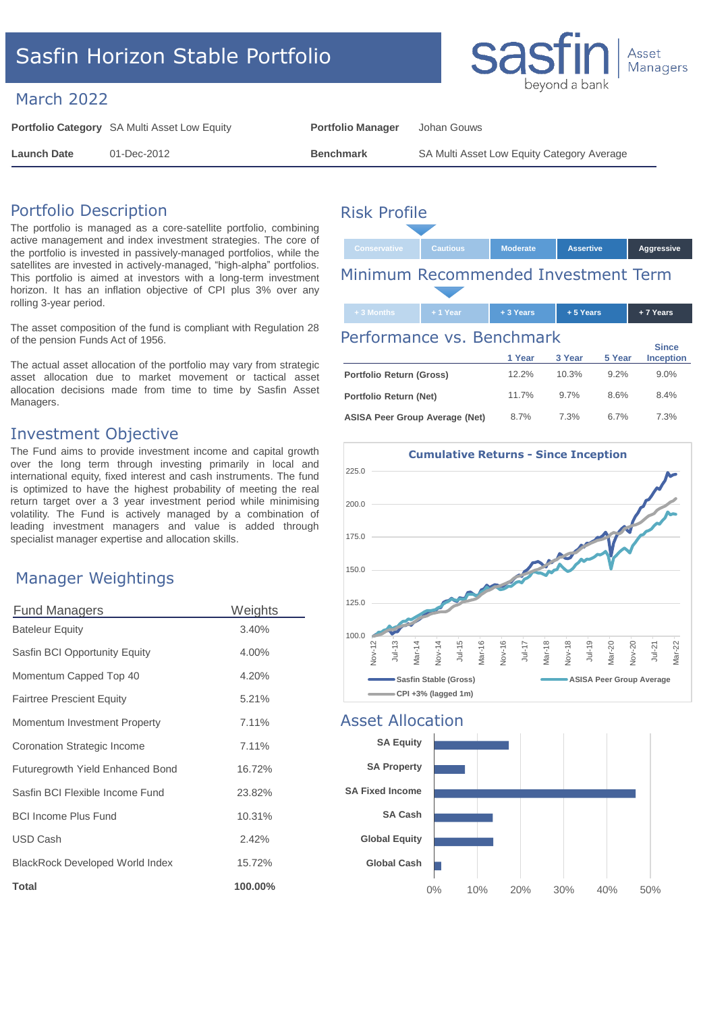# Sasfin Horizon Stable Portfolio

## March 2022

**Portfolio Category** SA Multi Asset Low Equity **Portfolio Manager** Johan Gouws

**Launch Date** 01-Dec-2012 **Benchmark** SA Multi Asset Low Equity Category Average

# Portfolio Description

The portfolio is managed as a core-satellite portfolio, combining active management and index investment strategies. The core of the portfolio is invested in passively-managed portfolios, while the satellites are invested in actively-managed, "high-alpha" portfolios. This portfolio is aimed at investors with a long-term investment horizon. It has an inflation objective of CPI plus 3% over any rolling 3-year period.

The asset composition of the fund is compliant with Regulation 28 of the pension Funds Act of 1956.

The actual asset allocation of the portfolio may vary from strategic asset allocation due to market movement or tactical asset allocation decisions made from time to time by Sasfin Asset Managers.

### Investment Objective

The Fund aims to provide investment income and capital growth over the long term through investing primarily in local and international equity, fixed interest and cash instruments. The fund is optimized to have the highest probability of meeting the real return target over a 3 year investment period while minimising volatility. The Fund is actively managed by a combination of leading investment managers and value is added through specialist manager expertise and allocation skills.

## Manager Weightings

| <b>Fund Managers</b>             | Weights |
|----------------------------------|---------|
| <b>Bateleur Equity</b>           | 3.40%   |
| Sasfin BCI Opportunity Equity    | 4.00%   |
| Momentum Capped Top 40           | 4.20%   |
| <b>Fairtree Prescient Equity</b> | 5.21%   |
| Momentum Investment Property     | 7.11%   |
| Coronation Strategic Income      | 7.11%   |
| Futuregrowth Yield Enhanced Bond | 16.72%  |
| Sasfin BCI Flexible Income Fund  | 23.82%  |
| <b>BCI Income Plus Fund</b>      | 10.31%  |
| USD Cash                         | 2.42%   |
| BlackRock Developed World Index  | 15.72%  |
| <b>Total</b>                     | 100.00% |

# Risk Profile

| Conservative | <b>Cautious</b> | <b>Moderate</b> | <b>Assertive</b> | Aggressive |
|--------------|-----------------|-----------------|------------------|------------|
|              | -               |                 |                  |            |

# Minimum Recommended Investment Term

#### **+ 3 Months + 1 Year + 3 Years + 5 Years + 7 Years 1 Year 3 Year 5 Year Since Inception Portfolio Return (Gross)** 12.2% 10.3% 9.2% 9.0% **Portfolio Return (Net)** 11.7% 9.7% 8.6% 8.4% Performance vs. Benchmark

**ASISA Peer Group Average (Net)** 8.7% 7.3% 6.7% 7.3%